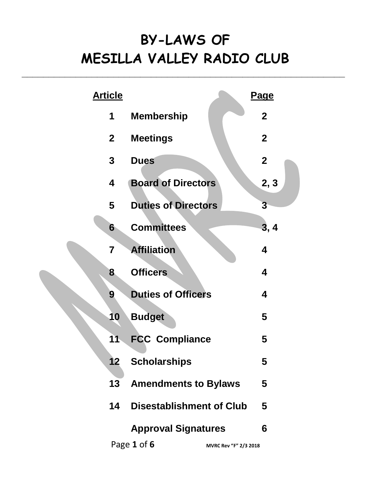# **BY-LAWS OF MESILLA VALLEY RADIO CLUB**

**\_\_\_\_\_\_\_\_\_\_\_\_\_\_\_\_\_\_\_\_\_\_\_\_\_\_\_\_\_\_\_\_\_\_\_\_\_\_\_\_\_\_\_\_\_\_\_\_\_\_\_\_\_\_\_\_\_\_\_\_**

| <b>Article</b> |                                      | <u>Page</u>      |
|----------------|--------------------------------------|------------------|
| 1              | <b>Membership</b>                    | $\mathbf 2$      |
| $\mathbf{2}$   | <b>Meetings</b>                      | $\boldsymbol{2}$ |
| $\mathbf 3$    | <b>Dues</b>                          | $\boldsymbol{2}$ |
| 4              | <b>Board of Directors</b>            | 2, 3             |
| 5              | <b>Duties of Directors</b>           | $\overline{3}$   |
| 6              | <b>Committees</b>                    | 3, 4             |
| 7              | <b>Affiliation</b>                   | 4                |
| 8              | <b>Officers</b>                      | 4                |
| 9              | <b>Duties of Officers</b>            | 4                |
| 10             | <b>Budget</b>                        | 5                |
| 11             | <b>FCC Compliance</b>                | 5                |
| 12             | <b>Scholarships</b>                  | ს                |
| 13             | <b>Amendments to Bylaws</b>          | 5                |
| 14             | <b>Disestablishment of Club</b>      | 5                |
|                | <b>Approval Signatures</b>           | 6                |
|                | Page 1 of 6<br>MVRC Rev "F" 2/3 2018 |                  |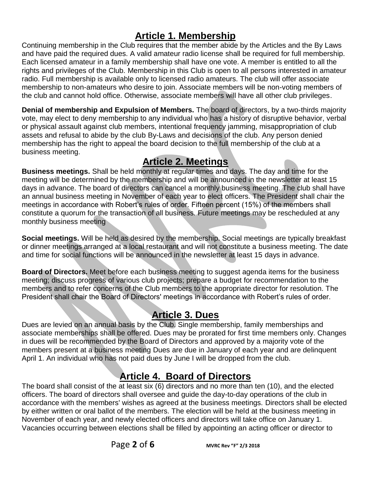#### **Article 1. Membership**

Continuing membership in the Club requires that the member abide by the Articles and the By Laws and have paid the required dues. A valid amateur radio license shall be required for full membership. Each licensed amateur in a family membership shall have one vote. A member is entitled to all the rights and privileges of the Club. Membership in this Club is open to all persons interested in amateur radio. Full membership is available only to licensed radio amateurs. The club will offer associate membership to non-amateurs who desire to join. Associate members will be non-voting members of the club and cannot hold office. Otherwise, associate members will have all other club privileges.

**Denial of membership and Expulsion of Members.** The board of directors, by a two-thirds majority vote, may elect to deny membership to any individual who has a history of disruptive behavior, verbal or physical assault against club members, intentional frequency jamming, misappropriation of club assets and refusal to abide by the club By-Laws and decisions of the club. Any person denied membership has the right to appeal the board decision to the full membership of the club at a business meeting.

#### **Article 2. Meetings**

**Business meetings.** Shall be held monthly at regular times and days. The day and time for the meeting will be determined by the membership and will be announced in the newsletter at least 15 days in advance. The board of directors can cancel a monthly business meeting. The club shall have an annual business meeting in November of each year to elect officers. The President shall chair the meetings in accordance with Robert's rules of order. Fifteen percent (15%) of the members shall constitute a quorum for the transaction of all business. Future meetings may be rescheduled at any monthly business meeting

**Social meetings.** Will be held as desired by the membership. Social meetings are typically breakfast or dinner meetings arranged at a local restaurant and will not constitute a business meeting. The date and time for social functions will be announced in the newsletter at least 15 days in advance.

**Board of Directors.** Meet before each business meeting to suggest agenda items for the business meeting; discuss progress of various club projects; prepare a budget for recommendation to the members and to refer concerns of the Club members to the appropriate director for resolution. The President shall chair the Board of Directors' meetings in accordance with Robert's rules of order.

#### **Article 3. Dues**

Dues are levied on an annual basis by the Club. Single membership, family memberships and associate memberships shall be offered. Dues may be prorated for first time members only. Changes in dues will be recommended by the Board of Directors and approved by a majority vote of the members present at a business meeting Dues are due in January of each year and are delinquent April 1. An individual who has not paid dues by June I will be dropped from the club.

## **Article 4. Board of Directors**

The board shall consist of the at least six (6) directors and no more than ten (10), and the elected officers. The board of directors shall oversee and guide the day-to-day operations of the club in accordance with the members' wishes as agreed at the business meetings. Directors shall be elected by either written or oral ballot of the members. The election will be held at the business meeting in November of each year, and newly elected officers and directors will take office on January 1. Vacancies occurring between elections shall be filled by appointing an acting officer or director to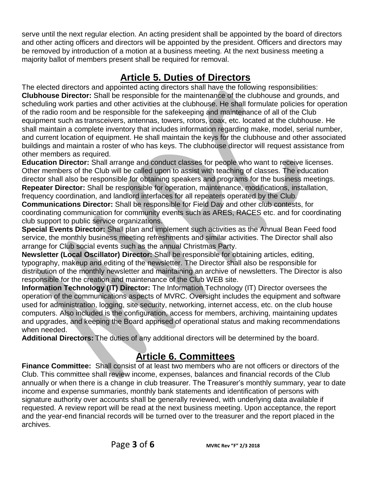serve until the next regular election. An acting president shall be appointed by the board of directors and other acting officers and directors will be appointed by the president. Officers and directors may be removed by introduction of a motion at a business meeting. At the next business meeting a majority ballot of members present shall be required for removal.

## **Article 5. Duties of Directors**

The elected directors and appointed acting directors shall have the following responsibilities: **Clubhouse Director:** Shall be responsible for the maintenance of the clubhouse and grounds, and scheduling work parties and other activities at the clubhouse. He shall formulate policies for operation of the radio room and be responsible for the safekeeping and maintenance of all of the Club equipment such as transceivers, antennas, towers, rotors, coax, etc. located at the clubhouse. He shall maintain a complete inventory that includes information regarding make, model, serial number, and current location of equipment. He shall maintain the keys for the clubhouse and other associated buildings and maintain a roster of who has keys. The clubhouse director will request assistance from other members as required.

**Education Director:** Shall arrange and conduct classes for people who want to receive licenses. Other members of the Club will be called upon to assist with teaching of classes. The education director shall also be responsible for obtaining speakers and programs for the business meetings. **Repeater Director:** Shall be responsible for operation, maintenance, modifications, installation, frequency coordination, and landlord interfaces for all repeaters operated by the Club.

**Communications Director:** Shall be responsible for Field Day and other club contests, for coordinating communication for community events such as ARES, RACES etc. and for coordinating club support to public service organizations.

**Special Events Director:** Shall plan and implement such activities as the Annual Bean Feed food service, the monthly business meeting refreshments and similar activities. The Director shall also arrange for Club social events such as the annual Christmas Party.

**Newsletter (Local Oscillator) Director:** Shall be responsible for obtaining articles, editing, typography, makeup and editing of the newsletter. The Director shall also be responsible for distribution of the monthly newsletter and maintaining an archive of newsletters. The Director is also responsible for the creation and maintenance of the Club WEB site.

**Information Technology (IT) Director:** The Information Technology (IT) Director oversees the operation of the communications aspects of MVRC. Oversight includes the equipment and software used for administration, logging, site security, networking, internet access, etc. on the club house computers. Also included is the configuration, access for members, archiving, maintaining updates and upgrades, and keeping the Board apprised of operational status and making recommendations when needed.

**Additional Directors:** The duties of any additional directors will be determined by the board.

# **Article 6. Committees**

**Finance Committee:** Shall consist of at least two members who are not officers or directors of the Club. This committee shall review income, expenses, balances and financial records of the Club annually or when there is a change in club treasurer. The Treasurer's monthly summary, year to date income and expense summaries, monthly bank statements and identification of persons with signature authority over accounts shall be generally reviewed, with underlying data available if requested. A review report will be read at the next business meeting. Upon acceptance, the report and the year-end financial records will be turned over to the treasurer and the report placed in the archives.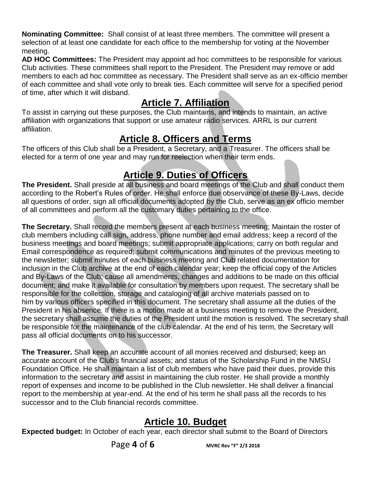**Nominating Committee:** Shall consist of at least three members. The committee will present a selection of at least one candidate for each office to the membership for voting at the November meeting.

**AD HOC Committees:** The President may appoint ad hoc committees to be responsible for various Club activities. These committees shall report to the President. The President may remove or add members to each ad hoc committee as necessary. The President shall serve as an ex-officio member of each committee and shall vote only to break ties. Each committee will serve for a specified period of time, after which it will disband.

#### **Article 7. Affiliation**

To assist in carrying out these purposes, the Club maintains, and intends to maintain, an active affiliation with organizations that support or use amateur radio services. ARRL is our current affiliation.

#### **Article 8. Officers and Terms**

The officers of this Club shall be a President, a Secretary, and a Treasurer. The officers shall be elected for a term of one year and may run for reelection when their term ends.

# **Article 9. Duties of Officers**

**The President.** Shall preside at all business and board meetings of the Club and shall conduct them according to the Robert's Rules of order. He shall enforce due observance of these By-Laws, decide all questions of order, sign all official documents adopted by the Club, serve as an ex officio member of all committees and perform all the customary duties pertaining to the office.

**The Secretary.** Shall record the members present at each business meeting; Maintain the roster of club members including call sign, address, phone number and email address; keep a record of the business meetings and board meetings; submit appropriate applications; carry on both regular and Email correspondence as required; submit communications and minutes of the previous meeting to the newsletter; submit minutes of each business meeting and Club related documentation for inclusion in the Club archive at the end of each calendar year; keep the official copy of the Articles and By-Laws of the Club; cause all amendments, changes and additions to be made on this official document; and make it available for consultation by members upon request. The secretary shall be responsible for the collection, storage and cataloging of all archive materials passed on to him by various officers specified in this document. The secretary shall assume all the duties of the President in his absence. If there is a motion made at a business meeting to remove the President, the secretary shall assume the duties of the President until the motion is resolved. The secretary shall be responsible for the maintenance of the club calendar. At the end of his term, the Secretary will pass all official documents on to his successor.

**The Treasurer.** Shall keep an accurate account of all monies received and disbursed; keep an accurate account of the Club's financial assets; and status of the Scholarship Fund in the NMSU Foundation Office. He shall maintain a list of club members who have paid their dues, provide this information to the secretary and assist in maintaining the club roster. He shall provide a monthly report of expenses and income to be published in the Club newsletter. He shall deliver a financial report to the membership at year-end. At the end of his term he shall pass all the records to his successor and to the Club financial records committee.

## **Article 10. Budget**

**Expected budget:** In October of each year, each director shall submit to the Board of Directors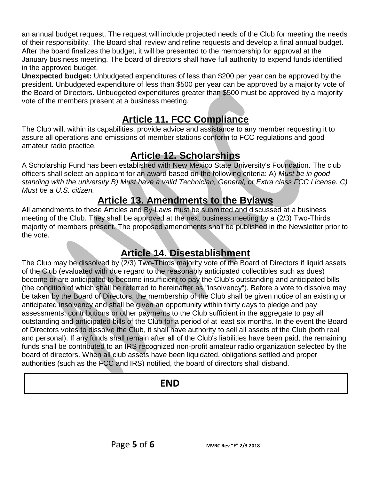an annual budget request. The request will include projected needs of the Club for meeting the needs of their responsibility. The Board shall review and refine requests and develop a final annual budget. After the board finalizes the budget, it will be presented to the membership for approval at the January business meeting. The board of directors shall have full authority to expend funds identified in the approved budget.

**Unexpected budget:** Unbudgeted expenditures of less than \$200 per year can be approved by the president. Unbudgeted expenditure of less than \$500 per year can be approved by a majority vote of the Board of Directors. Unbudgeted expenditures greater than \$500 must be approved by a majority vote of the members present at a business meeting.

#### **Article 11. FCC Compliance**

The Club will, within its capabilities, provide advice and assistance to any member requesting it to assure all operations and emissions of member stations conform to FCC regulations and good amateur radio practice.

## **Article 12. Scholarships**

A Scholarship Fund has been established with New Mexico State University's Foundation. The club officers shall select an applicant for an award based on the following criteria: A) *Must be in good standing with the university B) Must have a valid Technician, General, or Extra class FCC License. C) Must be a U.S. citizen.*

## **Article 13. Amendments to the Bylaws**

All amendments to these Articles and By-Laws must be submitted and discussed at a business meeting of the Club. They shall be approved at the next business meeting by a (2/3) Two-Thirds majority of members present. The proposed amendments shall be published in the Newsletter prior to the vote.

## **Article 14. Disestablishment**

The Club may be dissolved by (2/3) Two-Thirds majority vote of the Board of Directors if liquid assets of the Club (evaluated with due regard to the reasonably anticipated collectibles such as dues) become or are anticipated to become insufficient to pay the Club's outstanding and anticipated bills (the condition of which shall be referred to hereinafter as "insolvency"). Before a vote to dissolve may be taken by the Board of Directors, the membership of the Club shall be given notice of an existing or anticipated insolvency and shall be given an opportunity within thirty days to pledge and pay assessments, contributions or other payments to the Club sufficient in the aggregate to pay all outstanding and anticipated bills of the Club for a period of at least six months. In the event the Board of Directors votes to dissolve the Club, it shall have authority to sell all assets of the Club (both real and personal). If any funds shall remain after all of the Club's liabilities have been paid, the remaining funds shall be contributed to an IRS recognized non-profit amateur radio organization selected by the board of directors. When all club assets have been liquidated, obligations settled and proper authorities (such as the FCC and IRS) notified, the board of directors shall disband.

# **END**